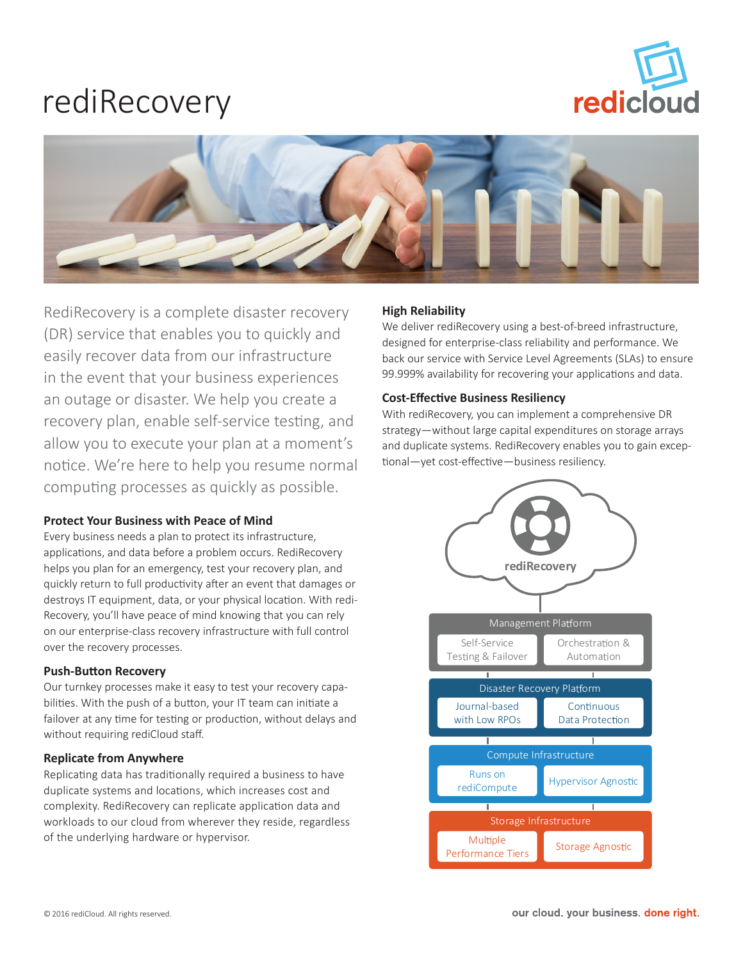# redicloud

## rediRecovery



RediRecovery is a complete disaster recovery (DR) service that enables you to quickly and easily recover data from our infrastructure in the event that your business experiences an outage or disaster. We help you create a recovery plan, enable self-service testing, and allow you to execute your plan at a moment's notice. We're here to help you resume normal computing processes as quickly as possible.

### **Protect Your Business with Peace of Mind**

Every business needs a plan to protect its infrastructure, applications, and data before a problem occurs. RediRecovery helps you plan for an emergency, test your recovery plan, and quickly return to full productivity after an event that damages or destroys IT equipment, data, or your physical location. With redi-Recovery, you'll have peace of mind knowing that you can rely on our enterprise-class recovery infrastructure with full control over the recovery processes.

#### **Push-Button Recovery**

Our turnkey processes make it easy to test your recovery capabilities. With the push of a button, your IT team can initiate a failover at any time for testing or production, without delays and without requiring rediCloud staff.

#### **Replicate from Anywhere**

Replicating data has traditionally required a business to have duplicate systems and locations, which increases cost and complexity. RediRecovery can replicate application data and workloads to our cloud from wherever they reside, regardless of the underlying hardware or hypervisor.

#### **High Reliability**

We deliver rediRecovery using a best-of-breed infrastructure, designed for enterprise-class reliability and performance. We back our service with Service Level Agreements (SLAs) to ensure 99.999% availability for recovering your applications and data.

#### **Cost-Effective Business Resiliency**

With rediRecovery, you can implement a comprehensive DR strategy—without large capital expenditures on storage arrays and duplicate systems. RediRecovery enables you to gain exceptional—yet cost-effective—business resiliency.